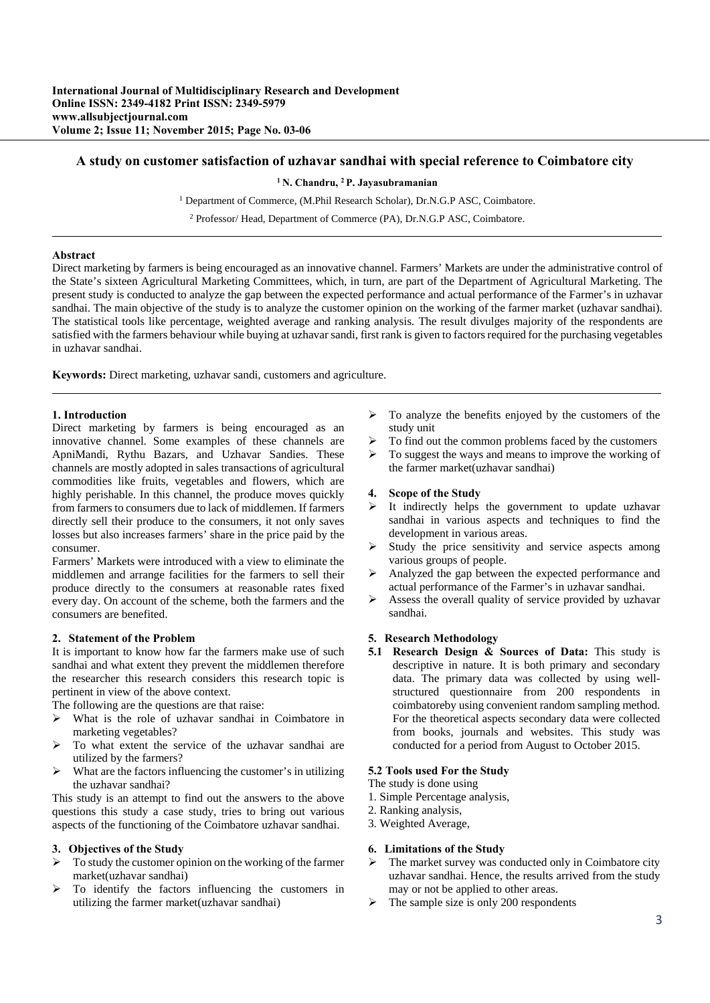# **A study on customer satisfaction of uzhavar sandhai with special reference to Coimbatore city**

### **1 N. Chandru, 2 P. Jayasubramanian**

<sup>1</sup> Department of Commerce, (M.Phil Research Scholar), Dr.N.G.P ASC, Coimbatore.

2 Professor/ Head, Department of Commerce (PA), Dr.N.G.P ASC, Coimbatore.

## **Abstract**

Direct marketing by farmers is being encouraged as an innovative channel. Farmers' Markets are under the administrative control of the State's sixteen Agricultural Marketing Committees, which, in turn, are part of the Department of Agricultural Marketing. The present study is conducted to analyze the gap between the expected performance and actual performance of the Farmer's in uzhavar sandhai. The main objective of the study is to analyze the customer opinion on the working of the farmer market (uzhavar sandhai). The statistical tools like percentage, weighted average and ranking analysis. The result divulges majority of the respondents are satisfied with the farmers behaviour while buying at uzhavar sandi, first rank is given to factors required for the purchasing vegetables in uzhavar sandhai.

**Keywords:** Direct marketing, uzhavar sandi, customers and agriculture.

# **1. Introduction**

Direct marketing by farmers is being encouraged as an innovative channel. Some examples of these channels are ApniMandi, Rythu Bazars, and Uzhavar Sandies. These channels are mostly adopted in sales transactions of agricultural commodities like fruits, vegetables and flowers, which are highly perishable. In this channel, the produce moves quickly from farmers to consumers due to lack of middlemen. If farmers directly sell their produce to the consumers, it not only saves losses but also increases farmers' share in the price paid by the consumer.

Farmers' Markets were introduced with a view to eliminate the middlemen and arrange facilities for the farmers to sell their produce directly to the consumers at reasonable rates fixed every day. On account of the scheme, both the farmers and the consumers are benefited.

#### **2. Statement of the Problem**

It is important to know how far the farmers make use of such sandhai and what extent they prevent the middlemen therefore the researcher this research considers this research topic is pertinent in view of the above context.

The following are the questions are that raise:

- $\triangleright$  What is the role of uzhavar sandhai in Coimbatore in marketing vegetables?
- $\triangleright$  To what extent the service of the uzhavar sandhai are utilized by the farmers?
- $\triangleright$  What are the factors influencing the customer's in utilizing the uzhavar sandhai?

This study is an attempt to find out the answers to the above questions this study a case study, tries to bring out various aspects of the functioning of the Coimbatore uzhavar sandhai.

#### **3. Objectives of the Study**

- To study the customer opinion on the working of the farmer market(uzhavar sandhai)
- $\triangleright$  To identify the factors influencing the customers in utilizing the farmer market(uzhavar sandhai)
- $\triangleright$  To analyze the benefits enjoyed by the customers of the study unit
- To find out the common problems faced by the customers
- $\triangleright$  To suggest the ways and means to improve the working of the farmer market(uzhavar sandhai)

### **4. Scope of the Study**

- $\triangleright$  It indirectly helps the government to update uzhavar sandhai in various aspects and techniques to find the development in various areas.
- $\triangleright$  Study the price sensitivity and service aspects among various groups of people.
- Analyzed the gap between the expected performance and actual performance of the Farmer's in uzhavar sandhai.
- $\triangleright$  Assess the overall quality of service provided by uzhavar sandhai.

### **5. Research Methodology**

**5.1 Research Design & Sources of Data:** This study is descriptive in nature. It is both primary and secondary data. The primary data was collected by using wellstructured questionnaire from 200 respondents in coimbatoreby using convenient random sampling method. For the theoretical aspects secondary data were collected from books, journals and websites. This study was conducted for a period from August to October 2015.

### **5.2 Tools used For the Study**

The study is done using

- 1. Simple Percentage analysis,
- 2. Ranking analysis,
- 3. Weighted Average,

### **6. Limitations of the Study**

- $\triangleright$  The market survey was conducted only in Coimbatore city uzhavar sandhai. Hence, the results arrived from the study may or not be applied to other areas.
- The sample size is only 200 respondents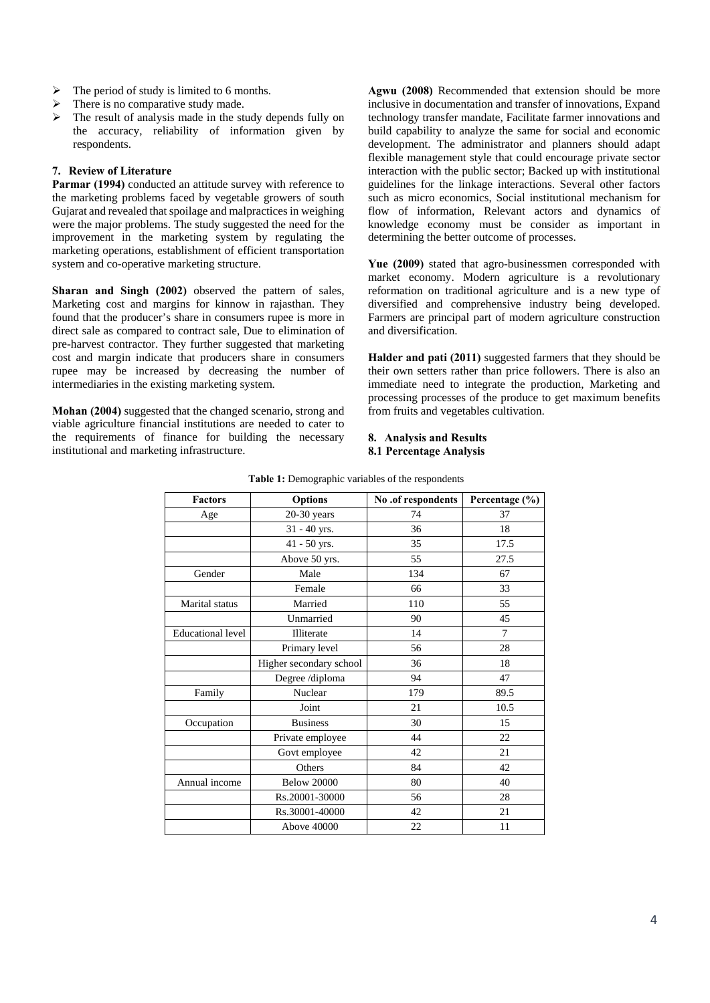- $\triangleright$  The period of study is limited to 6 months.
- $\triangleright$  There is no comparative study made.
- The result of analysis made in the study depends fully on the accuracy, reliability of information given by respondents.

## **7. Review of Literature**

Parmar (1994) conducted an attitude survey with reference to the marketing problems faced by vegetable growers of south Gujarat and revealed that spoilage and malpractices in weighing were the major problems. The study suggested the need for the improvement in the marketing system by regulating the marketing operations, establishment of efficient transportation system and co-operative marketing structure.

**Sharan and Singh (2002)** observed the pattern of sales, Marketing cost and margins for kinnow in rajasthan. They found that the producer's share in consumers rupee is more in direct sale as compared to contract sale, Due to elimination of pre-harvest contractor. They further suggested that marketing cost and margin indicate that producers share in consumers rupee may be increased by decreasing the number of intermediaries in the existing marketing system.

**Mohan (2004)** suggested that the changed scenario, strong and viable agriculture financial institutions are needed to cater to the requirements of finance for building the necessary institutional and marketing infrastructure.

**Agwu (2008)** Recommended that extension should be more inclusive in documentation and transfer of innovations, Expand technology transfer mandate, Facilitate farmer innovations and build capability to analyze the same for social and economic development. The administrator and planners should adapt flexible management style that could encourage private sector interaction with the public sector; Backed up with institutional guidelines for the linkage interactions. Several other factors such as micro economics, Social institutional mechanism for flow of information, Relevant actors and dynamics of knowledge economy must be consider as important in determining the better outcome of processes.

**Yue (2009)** stated that agro-businessmen corresponded with market economy. Modern agriculture is a revolutionary reformation on traditional agriculture and is a new type of diversified and comprehensive industry being developed. Farmers are principal part of modern agriculture construction and diversification.

**Halder and pati (2011)** suggested farmers that they should be their own setters rather than price followers. There is also an immediate need to integrate the production, Marketing and processing processes of the produce to get maximum benefits from fruits and vegetables cultivation.

### **8. Analysis and Results 8.1 Percentage Analysis**

| <b>Factors</b>           | <b>Options</b>          | No .of respondents | Percentage (%) |  |
|--------------------------|-------------------------|--------------------|----------------|--|
| Age                      | $20-30$ years           | 74                 | 37             |  |
|                          | 31 - 40 yrs.            | 36                 | 18             |  |
|                          | 41 - 50 yrs.            | 35                 | 17.5           |  |
|                          | Above 50 yrs.           | 55                 | 27.5           |  |
| Gender                   | Male                    | 134                | 67             |  |
|                          | Female                  | 66                 | 33             |  |
| Marital status           | Married                 | 110                | 55             |  |
|                          | Unmarried               | 90                 | 45             |  |
| <b>Educational level</b> | Illiterate              | 14                 | $\tau$         |  |
|                          | Primary level           | 56                 | 28             |  |
|                          | Higher secondary school | 36                 | 18             |  |
|                          | Degree /diploma         | 94                 | 47             |  |
| Family                   | Nuclear                 | 179                | 89.5           |  |
|                          | Joint                   | 21                 | 10.5           |  |
| Occupation               | <b>Business</b>         | 30                 | 15             |  |
|                          | Private employee        | 44                 | 22             |  |
|                          | Govt employee           | 42                 | 21             |  |
|                          | Others                  | 84                 | 42             |  |
| Annual income            | <b>Below 20000</b>      | 80                 | 40             |  |
|                          | Rs.20001-30000          | 56                 | 28             |  |
|                          | Rs.30001-40000          | 42                 | 21             |  |
|                          | Above 40000             | 22                 | 11             |  |

**Table 1:** Demographic variables of the respondents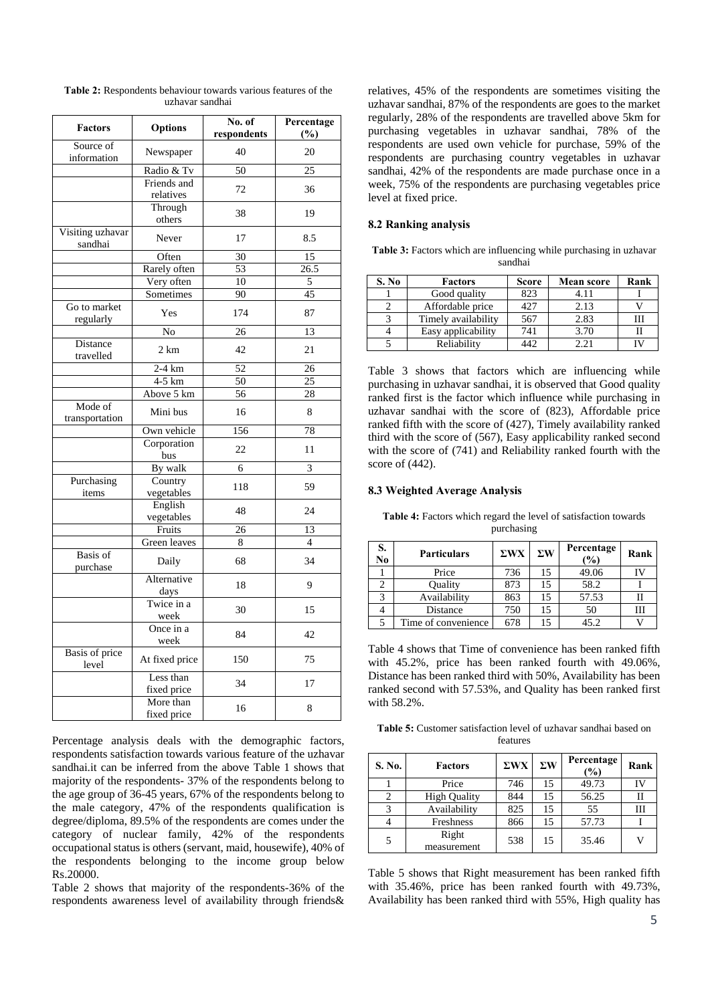| <b>Factors</b>                 | <b>Options</b>           | No. of<br>respondents | Percentage<br>$(\%)$ |
|--------------------------------|--------------------------|-----------------------|----------------------|
| Source of<br>information       | Newspaper                | 40                    | 20                   |
|                                | Radio & Tv               | $\overline{50}$       | $\overline{25}$      |
|                                | Friends and<br>relatives | 72                    | 36                   |
|                                | Through<br>others        | 38                    | 19                   |
| Visiting uzhavar<br>sandhai    | Never                    | 17                    | 8.5                  |
|                                | Often                    | 30                    | 15                   |
|                                | Rarely often             | 53                    | $\overline{26.5}$    |
|                                | Very often               | 10                    | 5                    |
|                                | Sometimes                | 90                    | 45                   |
| Go to market<br>regularly      | Yes                      | 174                   | 87                   |
|                                | No                       | 26                    | 13                   |
| Distance<br>travelled          | 2 km                     | 42                    | 21                   |
|                                | $2-4 km$                 | 52                    | 26                   |
|                                | $4-5$ km                 | $\overline{50}$       | $\overline{25}$      |
|                                | Above 5 km               | 56                    | 28                   |
| Mode of<br>transportation      | Mini bus                 | 16                    | 8                    |
|                                | Own vehicle              | 156                   | 78                   |
|                                | Corporation<br>bus       | 22                    | 11                   |
|                                | By walk                  | 6                     | 3                    |
| Purchasing<br>items            | Country<br>vegetables    | 118                   | 59                   |
|                                | English<br>vegetables    | 48                    | 24                   |
|                                | Fruits                   | $\overline{26}$       | 13                   |
|                                | Green leaves             | 8                     | $\overline{4}$       |
| <b>Basis</b> of<br>purchase    | Daily                    | 68                    | 34                   |
|                                | Alternative<br>days      | 18                    | 9                    |
|                                | Twice in a<br>week       | 30                    | 15                   |
|                                | Once in a<br>week        | 84                    | 42                   |
| <b>Basis</b> of price<br>level | At fixed price           | 150                   | 75                   |
|                                | Less than<br>fixed price | 34                    | 17                   |
|                                | More than<br>fixed price | 16                    | 8                    |

**Table 2:** Respondents behaviour towards various features of the uzhavar sandhai

Percentage analysis deals with the demographic factors, respondents satisfaction towards various feature of the uzhavar sandhai.it can be inferred from the above Table 1 shows that majority of the respondents- 37% of the respondents belong to the age group of 36-45 years, 67% of the respondents belong to the male category, 47% of the respondents qualification is degree/diploma, 89.5% of the respondents are comes under the category of nuclear family, 42% of the respondents occupational status is others (servant, maid, housewife), 40% of the respondents belonging to the income group below Rs.20000.

Table 2 shows that majority of the respondents-36% of the respondents awareness level of availability through friends&

relatives, 45% of the respondents are sometimes visiting the uzhavar sandhai, 87% of the respondents are goes to the market regularly, 28% of the respondents are travelled above 5km for purchasing vegetables in uzhavar sandhai, 78% of the respondents are used own vehicle for purchase, 59% of the respondents are purchasing country vegetables in uzhavar sandhai, 42% of the respondents are made purchase once in a week, 75% of the respondents are purchasing vegetables price level at fixed price.

### **8.2 Ranking analysis**

**Table 3:** Factors which are influencing while purchasing in uzhavar sandhai

| S. No | <b>Factors</b>      | <b>Score</b> | <b>Mean score</b> | Rank |
|-------|---------------------|--------------|-------------------|------|
|       | Good quality        | 823          | 4.11              |      |
|       | Affordable price    | 427          | 2.13              |      |
|       | Timely availability | 567          | 2.83              |      |
|       | Easy applicability  | 741          | 3.70              |      |
|       | Reliability         | 44 P         | 2.21              |      |

Table 3 shows that factors which are influencing while purchasing in uzhavar sandhai, it is observed that Good quality ranked first is the factor which influence while purchasing in uzhavar sandhai with the score of (823), Affordable price ranked fifth with the score of (427), Timely availability ranked third with the score of (567), Easy applicability ranked second with the score of (741) and Reliability ranked fourth with the score of (442).

#### **8.3 Weighted Average Analysis**

| S.<br>No | <b>Particulars</b>  | $\Sigma$ WX | $\Sigma W$ | Percentage<br>$\frac{9}{6}$ | Rank |
|----------|---------------------|-------------|------------|-----------------------------|------|
|          | Price               | 736         | 15         | 49.06                       |      |
|          | Quality             | 873         | 15         | 58.2                        |      |
|          | Availability        | 863         | 15         | 57.53                       |      |
|          | Distance            | 750         | 15         | 50                          |      |
|          | Time of convenience | 678         | 15         | 45.2                        |      |

Table 4 shows that Time of convenience has been ranked fifth with 45.2%, price has been ranked fourth with 49.06%, Distance has been ranked third with 50%, Availability has been ranked second with 57.53%, and Quality has been ranked first with 58.2%.

**Table 5:** Customer satisfaction level of uzhavar sandhai based on features

| S. No. | <b>Factors</b>       | $\Sigma$ WX | $\Sigma W$ | Percentage<br>$(\%)$ | Rank |
|--------|----------------------|-------------|------------|----------------------|------|
|        | Price                | 746         | 15         | 49.73                | Г٧   |
|        | <b>High Quality</b>  | 844         | 15         | 56.25                | Н    |
| 3      | Availability         | 825         | 15         | 55                   | Ш    |
|        | Freshness            | 866         | 15         | 57.73                |      |
| 5      | Right<br>measurement | 538         | 15         | 35.46                | V)   |

Table 5 shows that Right measurement has been ranked fifth with 35.46%, price has been ranked fourth with 49.73%, Availability has been ranked third with 55%, High quality has